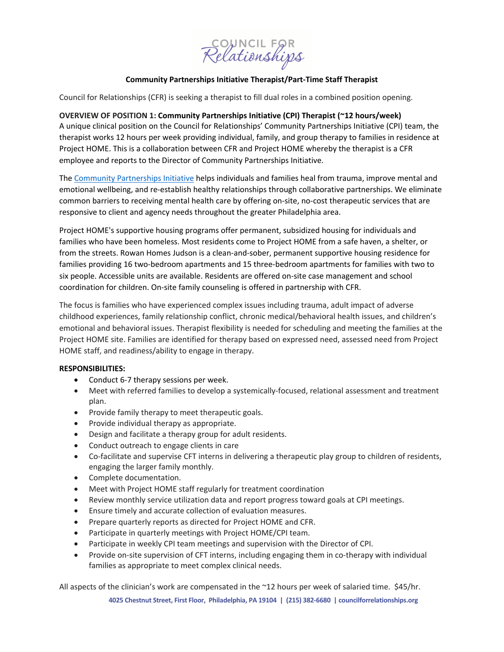COUNCIL FOR<br>Relationships

# **Community Partnerships Initiative Therapist/Part-Time Staff Therapist**

Council for Relationships (CFR) is seeking a therapist to fill dual roles in a combined position opening.

## **OVERVIEW OF POSITION 1: Community Partnerships Initiative (CPI) Therapist (~12 hours/week)**

A unique clinical position on the Council for Relationships' Community Partnerships Initiative (CPI) team, the therapist works 12 hours per week providing individual, family, and group therapy to families in residence at Project HOME. This is a collaboration between CFR and Project HOME whereby the therapist is a CFR employee and reports to the Director of Community Partnerships Initiative.

The [Community Partnerships Initiative](https://councilforrelationships.org/CPI) helps individuals and families heal from trauma, improve mental and emotional wellbeing, and re-establish healthy relationships through collaborative partnerships. We eliminate common barriers to receiving mental health care by offering on-site, no-cost therapeutic services that are responsive to client and agency needs throughout the greater Philadelphia area.

Project HOME's supportive housing programs offer permanent, subsidized housing for individuals and families who have been homeless. Most residents come to Project HOME from a safe haven, a shelter, or from the streets. Rowan Homes Judson is a clean-and-sober, permanent supportive housing residence for families providing 16 two-bedroom apartments and 15 three-bedroom apartments for families with two to six people. Accessible units are available. Residents are offered on-site case management and school coordination for children. On-site family counseling is offered in partnership with CFR.

The focus is families who have experienced complex issues including trauma, adult impact of adverse childhood experiences, family relationship conflict, chronic medical/behavioral health issues, and children's emotional and behavioral issues. Therapist flexibility is needed for scheduling and meeting the families at the Project HOME site. Families are identified for therapy based on expressed need, assessed need from Project HOME staff, and readiness/ability to engage in therapy.

#### **RESPONSIBILITIES:**

- Conduct 6-7 therapy sessions per week.
- Meet with referred families to develop a systemically-focused, relational assessment and treatment plan.
- Provide family therapy to meet therapeutic goals.
- Provide individual therapy as appropriate.
- Design and facilitate a therapy group for adult residents.
- Conduct outreach to engage clients in care
- Co-facilitate and supervise CFT interns in delivering a therapeutic play group to children of residents, engaging the larger family monthly.
- Complete documentation.
- Meet with Project HOME staff regularly for treatment coordination
- Review monthly service utilization data and report progress toward goals at CPI meetings.
- Ensure timely and accurate collection of evaluation measures.
- Prepare quarterly reports as directed for Project HOME and CFR.
- Participate in quarterly meetings with Project HOME/CPI team.
- Participate in weekly CPI team meetings and supervision with the Director of CPI.
- Provide on-site supervision of CFT interns, including engaging them in co-therapy with individual families as appropriate to meet complex clinical needs.

All aspects of the clinician's work are compensated in the ~12 hours per week of salaried time. \$45/hr.